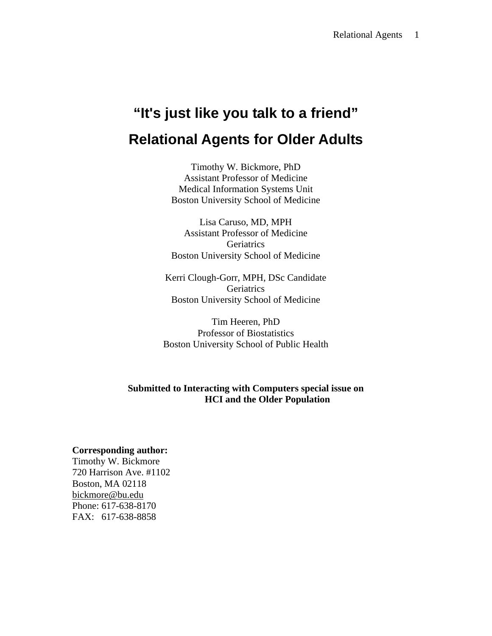# **"It's just like you talk to a friend" Relational Agents for Older Adults**

Timothy W. Bickmore, PhD Assistant Professor of Medicine Medical Information Systems Unit Boston University School of Medicine

Lisa Caruso, MD, MPH Assistant Professor of Medicine **Geriatrics** Boston University School of Medicine

Kerri Clough-Gorr, MPH, DSc Candidate **Geriatrics** Boston University School of Medicine

Tim Heeren, PhD Professor of Biostatistics Boston University School of Public Health

### **Submitted to Interacting with Computers special issue on HCI and the Older Population**

### **Corresponding author:**

Timothy W. Bickmore 720 Harrison Ave. #1102 Boston, MA 02118 bickmore@bu.edu Phone: 617-638-8170 FAX: 617-638-8858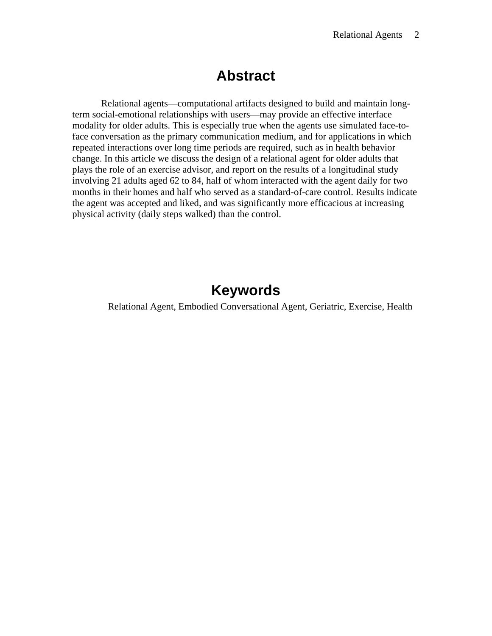# **Abstract**

Relational agents—computational artifacts designed to build and maintain longterm social-emotional relationships with users—may provide an effective interface modality for older adults. This is especially true when the agents use simulated face-toface conversation as the primary communication medium, and for applications in which repeated interactions over long time periods are required, such as in health behavior change. In this article we discuss the design of a relational agent for older adults that plays the role of an exercise advisor, and report on the results of a longitudinal study involving 21 adults aged 62 to 84, half of whom interacted with the agent daily for two months in their homes and half who served as a standard-of-care control. Results indicate the agent was accepted and liked, and was significantly more efficacious at increasing physical activity (daily steps walked) than the control.

# **Keywords**

Relational Agent, Embodied Conversational Agent, Geriatric, Exercise, Health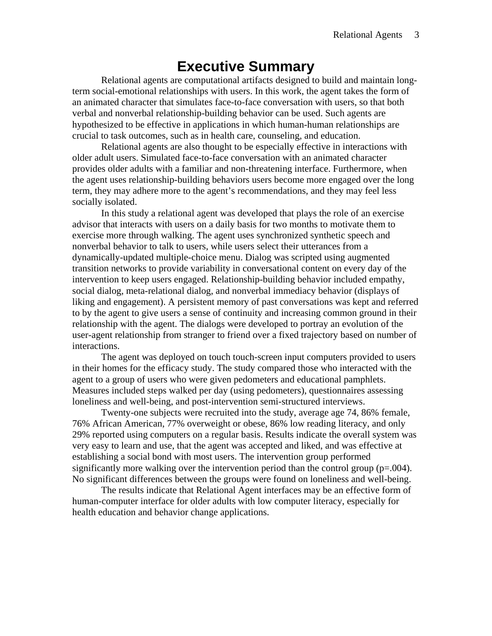# **Executive Summary**

Relational agents are computational artifacts designed to build and maintain longterm social-emotional relationships with users. In this work, the agent takes the form of an animated character that simulates face-to-face conversation with users, so that both verbal and nonverbal relationship-building behavior can be used. Such agents are hypothesized to be effective in applications in which human-human relationships are crucial to task outcomes, such as in health care, counseling, and education.

Relational agents are also thought to be especially effective in interactions with older adult users. Simulated face-to-face conversation with an animated character provides older adults with a familiar and non-threatening interface. Furthermore, when the agent uses relationship-building behaviors users become more engaged over the long term, they may adhere more to the agent's recommendations, and they may feel less socially isolated.

In this study a relational agent was developed that plays the role of an exercise advisor that interacts with users on a daily basis for two months to motivate them to exercise more through walking. The agent uses synchronized synthetic speech and nonverbal behavior to talk to users, while users select their utterances from a dynamically-updated multiple-choice menu. Dialog was scripted using augmented transition networks to provide variability in conversational content on every day of the intervention to keep users engaged. Relationship-building behavior included empathy, social dialog, meta-relational dialog, and nonverbal immediacy behavior (displays of liking and engagement). A persistent memory of past conversations was kept and referred to by the agent to give users a sense of continuity and increasing common ground in their relationship with the agent. The dialogs were developed to portray an evolution of the user-agent relationship from stranger to friend over a fixed trajectory based on number of interactions.

The agent was deployed on touch touch-screen input computers provided to users in their homes for the efficacy study. The study compared those who interacted with the agent to a group of users who were given pedometers and educational pamphlets. Measures included steps walked per day (using pedometers), questionnaires assessing loneliness and well-being, and post-intervention semi-structured interviews.

Twenty-one subjects were recruited into the study, average age 74, 86% female, 76% African American, 77% overweight or obese, 86% low reading literacy, and only 29% reported using computers on a regular basis. Results indicate the overall system was very easy to learn and use, that the agent was accepted and liked, and was effective at establishing a social bond with most users. The intervention group performed significantly more walking over the intervention period than the control group ( $p=.004$ ). No significant differences between the groups were found on loneliness and well-being.

The results indicate that Relational Agent interfaces may be an effective form of human-computer interface for older adults with low computer literacy, especially for health education and behavior change applications.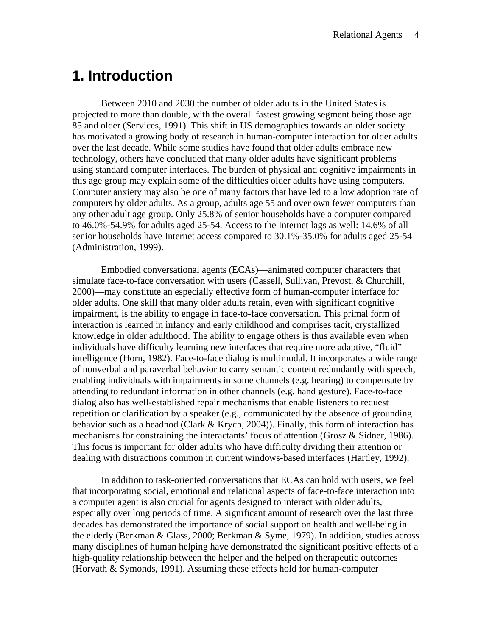# **1. Introduction**

Between 2010 and 2030 the number of older adults in the United States is projected to more than double, with the overall fastest growing segment being those age 85 and older (Services, 1991). This shift in US demographics towards an older society has motivated a growing body of research in human-computer interaction for older adults over the last decade. While some studies have found that older adults embrace new technology, others have concluded that many older adults have significant problems using standard computer interfaces. The burden of physical and cognitive impairments in this age group may explain some of the difficulties older adults have using computers. Computer anxiety may also be one of many factors that have led to a low adoption rate of computers by older adults. As a group, adults age 55 and over own fewer computers than any other adult age group. Only 25.8% of senior households have a computer compared to 46.0%-54.9% for adults aged 25-54. Access to the Internet lags as well: 14.6% of all senior households have Internet access compared to 30.1%-35.0% for adults aged 25-54 (Administration, 1999).

Embodied conversational agents (ECAs)—animated computer characters that simulate face-to-face conversation with users (Cassell, Sullivan, Prevost, & Churchill, 2000)—may constitute an especially effective form of human-computer interface for older adults. One skill that many older adults retain, even with significant cognitive impairment, is the ability to engage in face-to-face conversation. This primal form of interaction is learned in infancy and early childhood and comprises tacit, crystallized knowledge in older adulthood. The ability to engage others is thus available even when individuals have difficulty learning new interfaces that require more adaptive, "fluid" intelligence (Horn, 1982). Face-to-face dialog is multimodal. It incorporates a wide range of nonverbal and paraverbal behavior to carry semantic content redundantly with speech, enabling individuals with impairments in some channels (e.g. hearing) to compensate by attending to redundant information in other channels (e.g. hand gesture). Face-to-face dialog also has well-established repair mechanisms that enable listeners to request repetition or clarification by a speaker (e.g., communicated by the absence of grounding behavior such as a headnod (Clark & Krych, 2004)). Finally, this form of interaction has mechanisms for constraining the interactants' focus of attention (Grosz & Sidner, 1986). This focus is important for older adults who have difficulty dividing their attention or dealing with distractions common in current windows-based interfaces (Hartley, 1992).

In addition to task-oriented conversations that ECAs can hold with users, we feel that incorporating social, emotional and relational aspects of face-to-face interaction into a computer agent is also crucial for agents designed to interact with older adults, especially over long periods of time. A significant amount of research over the last three decades has demonstrated the importance of social support on health and well-being in the elderly (Berkman & Glass, 2000; Berkman & Syme, 1979). In addition, studies across many disciplines of human helping have demonstrated the significant positive effects of a high-quality relationship between the helper and the helped on therapeutic outcomes (Horvath & Symonds, 1991). Assuming these effects hold for human-computer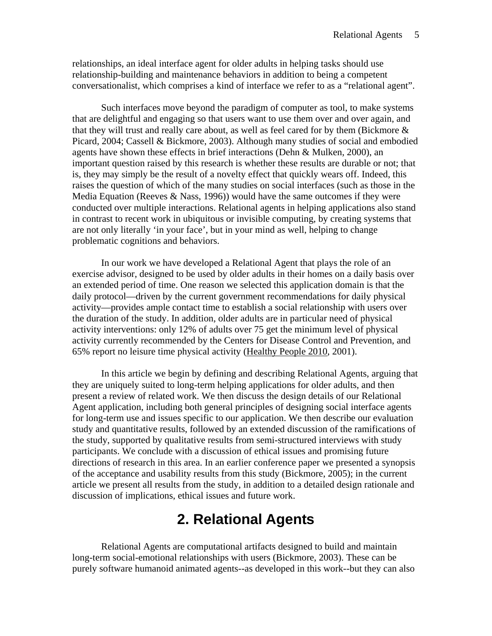relationships, an ideal interface agent for older adults in helping tasks should use relationship-building and maintenance behaviors in addition to being a competent conversationalist, which comprises a kind of interface we refer to as a "relational agent".

Such interfaces move beyond the paradigm of computer as tool, to make systems that are delightful and engaging so that users want to use them over and over again, and that they will trust and really care about, as well as feel cared for by them (Bickmore  $\&$ Picard, 2004; Cassell & Bickmore, 2003). Although many studies of social and embodied agents have shown these effects in brief interactions (Dehn & Mulken, 2000), an important question raised by this research is whether these results are durable or not; that is, they may simply be the result of a novelty effect that quickly wears off. Indeed, this raises the question of which of the many studies on social interfaces (such as those in the Media Equation (Reeves & Nass, 1996)) would have the same outcomes if they were conducted over multiple interactions. Relational agents in helping applications also stand in contrast to recent work in ubiquitous or invisible computing, by creating systems that are not only literally 'in your face', but in your mind as well, helping to change problematic cognitions and behaviors.

In our work we have developed a Relational Agent that plays the role of an exercise advisor, designed to be used by older adults in their homes on a daily basis over an extended period of time. One reason we selected this application domain is that the daily protocol—driven by the current government recommendations for daily physical activity—provides ample contact time to establish a social relationship with users over the duration of the study. In addition, older adults are in particular need of physical activity interventions: only 12% of adults over 75 get the minimum level of physical activity currently recommended by the Centers for Disease Control and Prevention, and 65% report no leisure time physical activity (Healthy People 2010, 2001).

In this article we begin by defining and describing Relational Agents, arguing that they are uniquely suited to long-term helping applications for older adults, and then present a review of related work. We then discuss the design details of our Relational Agent application, including both general principles of designing social interface agents for long-term use and issues specific to our application. We then describe our evaluation study and quantitative results, followed by an extended discussion of the ramifications of the study, supported by qualitative results from semi-structured interviews with study participants. We conclude with a discussion of ethical issues and promising future directions of research in this area. In an earlier conference paper we presented a synopsis of the acceptance and usability results from this study (Bickmore, 2005); in the current article we present all results from the study, in addition to a detailed design rationale and discussion of implications, ethical issues and future work.

# **2. Relational Agents**

Relational Agents are computational artifacts designed to build and maintain long-term social-emotional relationships with users (Bickmore, 2003). These can be purely software humanoid animated agents--as developed in this work--but they can also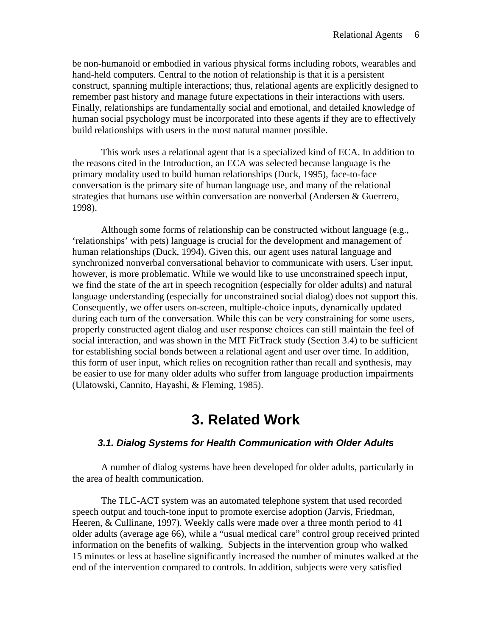be non-humanoid or embodied in various physical forms including robots, wearables and hand-held computers. Central to the notion of relationship is that it is a persistent construct, spanning multiple interactions; thus, relational agents are explicitly designed to remember past history and manage future expectations in their interactions with users. Finally, relationships are fundamentally social and emotional, and detailed knowledge of human social psychology must be incorporated into these agents if they are to effectively build relationships with users in the most natural manner possible.

This work uses a relational agent that is a specialized kind of ECA. In addition to the reasons cited in the Introduction, an ECA was selected because language is the primary modality used to build human relationships (Duck, 1995), face-to-face conversation is the primary site of human language use, and many of the relational strategies that humans use within conversation are nonverbal (Andersen & Guerrero, 1998).

Although some forms of relationship can be constructed without language (e.g., 'relationships' with pets) language is crucial for the development and management of human relationships (Duck, 1994). Given this, our agent uses natural language and synchronized nonverbal conversational behavior to communicate with users. User input, however, is more problematic. While we would like to use unconstrained speech input, we find the state of the art in speech recognition (especially for older adults) and natural language understanding (especially for unconstrained social dialog) does not support this. Consequently, we offer users on-screen, multiple-choice inputs, dynamically updated during each turn of the conversation. While this can be very constraining for some users, properly constructed agent dialog and user response choices can still maintain the feel of social interaction, and was shown in the MIT FitTrack study (Section 3.4) to be sufficient for establishing social bonds between a relational agent and user over time. In addition, this form of user input, which relies on recognition rather than recall and synthesis, may be easier to use for many older adults who suffer from language production impairments (Ulatowski, Cannito, Hayashi, & Fleming, 1985).

# **3. Related Work**

#### *3.1. Dialog Systems for Health Communication with Older Adults*

A number of dialog systems have been developed for older adults, particularly in the area of health communication.

The TLC-ACT system was an automated telephone system that used recorded speech output and touch-tone input to promote exercise adoption (Jarvis, Friedman, Heeren, & Cullinane, 1997). Weekly calls were made over a three month period to 41 older adults (average age 66), while a "usual medical care" control group received printed information on the benefits of walking. Subjects in the intervention group who walked 15 minutes or less at baseline significantly increased the number of minutes walked at the end of the intervention compared to controls. In addition, subjects were very satisfied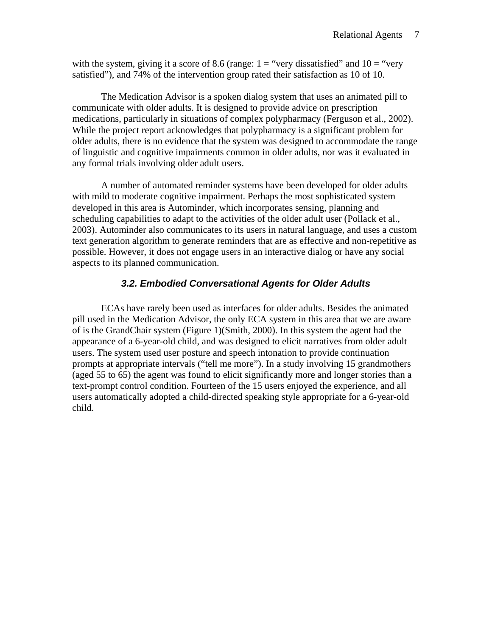with the system, giving it a score of 8.6 (range:  $1 =$  "very dissatisfied" and  $10 =$  "very" satisfied"), and 74% of the intervention group rated their satisfaction as 10 of 10.

The Medication Advisor is a spoken dialog system that uses an animated pill to communicate with older adults. It is designed to provide advice on prescription medications, particularly in situations of complex polypharmacy (Ferguson et al., 2002). While the project report acknowledges that polypharmacy is a significant problem for older adults, there is no evidence that the system was designed to accommodate the range of linguistic and cognitive impairments common in older adults, nor was it evaluated in any formal trials involving older adult users.

A number of automated reminder systems have been developed for older adults with mild to moderate cognitive impairment. Perhaps the most sophisticated system developed in this area is Autominder, which incorporates sensing, planning and scheduling capabilities to adapt to the activities of the older adult user (Pollack et al., 2003). Autominder also communicates to its users in natural language, and uses a custom text generation algorithm to generate reminders that are as effective and non-repetitive as possible. However, it does not engage users in an interactive dialog or have any social aspects to its planned communication.

### *3.2. Embodied Conversational Agents for Older Adults*

ECAs have rarely been used as interfaces for older adults. Besides the animated pill used in the Medication Advisor, the only ECA system in this area that we are aware of is the GrandChair system (Figure 1)(Smith, 2000). In this system the agent had the appearance of a 6-year-old child, and was designed to elicit narratives from older adult users. The system used user posture and speech intonation to provide continuation prompts at appropriate intervals ("tell me more"). In a study involving 15 grandmothers (aged 55 to 65) the agent was found to elicit significantly more and longer stories than a text-prompt control condition. Fourteen of the 15 users enjoyed the experience, and all users automatically adopted a child-directed speaking style appropriate for a 6-year-old child.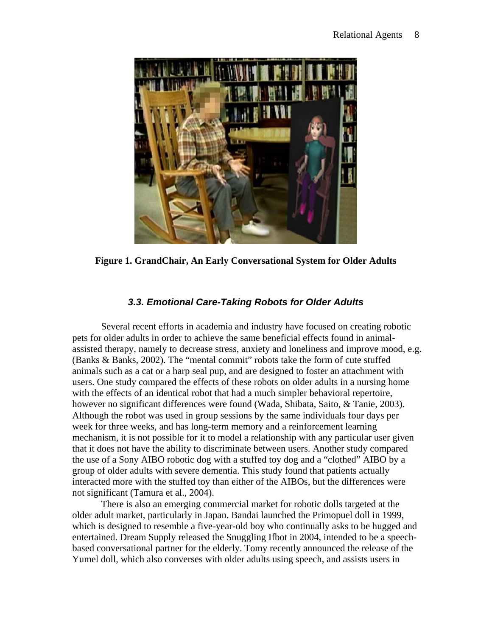

**Figure 1. GrandChair, An Early Conversational System for Older Adults** 

### *3.3. Emotional Care-Taking Robots for Older Adults*

Several recent efforts in academia and industry have focused on creating robotic pets for older adults in order to achieve the same beneficial effects found in animalassisted therapy, namely to decrease stress, anxiety and loneliness and improve mood, e.g. (Banks & Banks, 2002). The "mental commit" robots take the form of cute stuffed animals such as a cat or a harp seal pup, and are designed to foster an attachment with users. One study compared the effects of these robots on older adults in a nursing home with the effects of an identical robot that had a much simpler behavioral repertoire, however no significant differences were found (Wada, Shibata, Saito, & Tanie, 2003). Although the robot was used in group sessions by the same individuals four days per week for three weeks, and has long-term memory and a reinforcement learning mechanism, it is not possible for it to model a relationship with any particular user given that it does not have the ability to discriminate between users. Another study compared the use of a Sony AIBO robotic dog with a stuffed toy dog and a "clothed" AIBO by a group of older adults with severe dementia. This study found that patients actually interacted more with the stuffed toy than either of the AIBOs, but the differences were not significant (Tamura et al., 2004).

There is also an emerging commercial market for robotic dolls targeted at the older adult market, particularly in Japan. Bandai launched the Primopuel doll in 1999, which is designed to resemble a five-year-old boy who continually asks to be hugged and entertained. Dream Supply released the Snuggling Ifbot in 2004, intended to be a speechbased conversational partner for the elderly. Tomy recently announced the release of the Yumel doll, which also converses with older adults using speech, and assists users in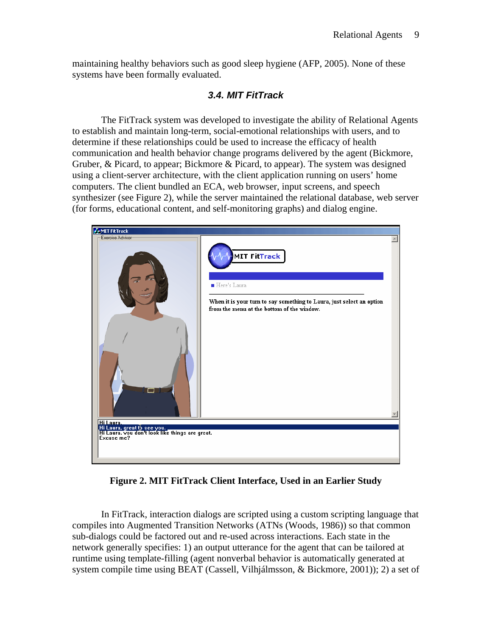maintaining healthy behaviors such as good sleep hygiene (AFP, 2005). None of these systems have been formally evaluated.

### *3.4. MIT FitTrack*

The FitTrack system was developed to investigate the ability of Relational Agents to establish and maintain long-term, social-emotional relationships with users, and to determine if these relationships could be used to increase the efficacy of health communication and health behavior change programs delivered by the agent (Bickmore, Gruber, & Picard, to appear; Bickmore & Picard, to appear). The system was designed using a client-server architecture, with the client application running on users' home computers. The client bundled an ECA, web browser, input screens, and speech synthesizer (see Figure 2), while the server maintained the relational database, web server (for forms, educational content, and self-monitoring graphs) and dialog engine.



**Figure 2. MIT FitTrack Client Interface, Used in an Earlier Study** 

In FitTrack, interaction dialogs are scripted using a custom scripting language that compiles into Augmented Transition Networks (ATNs (Woods, 1986)) so that common sub-dialogs could be factored out and re-used across interactions. Each state in the network generally specifies: 1) an output utterance for the agent that can be tailored at runtime using template-filling (agent nonverbal behavior is automatically generated at system compile time using BEAT (Cassell, Vilhjálmsson, & Bickmore, 2001)); 2) a set of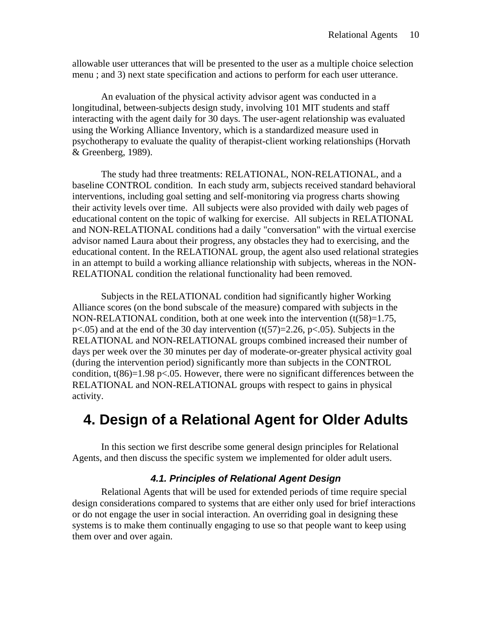allowable user utterances that will be presented to the user as a multiple choice selection menu ; and 3) next state specification and actions to perform for each user utterance.

An evaluation of the physical activity advisor agent was conducted in a longitudinal, between-subjects design study, involving 101 MIT students and staff interacting with the agent daily for 30 days. The user-agent relationship was evaluated using the Working Alliance Inventory, which is a standardized measure used in psychotherapy to evaluate the quality of therapist-client working relationships (Horvath & Greenberg, 1989).

The study had three treatments: RELATIONAL, NON-RELATIONAL, and a baseline CONTROL condition. In each study arm, subjects received standard behavioral interventions, including goal setting and self-monitoring via progress charts showing their activity levels over time. All subjects were also provided with daily web pages of educational content on the topic of walking for exercise. All subjects in RELATIONAL and NON-RELATIONAL conditions had a daily "conversation" with the virtual exercise advisor named Laura about their progress, any obstacles they had to exercising, and the educational content. In the RELATIONAL group, the agent also used relational strategies in an attempt to build a working alliance relationship with subjects, whereas in the NON-RELATIONAL condition the relational functionality had been removed.

Subjects in the RELATIONAL condition had significantly higher Working Alliance scores (on the bond subscale of the measure) compared with subjects in the NON-RELATIONAL condition, both at one week into the intervention  $(t(58)=1.75$ ,  $p<.05$ ) and at the end of the 30 day intervention (t(57)=2.26, p<.05). Subjects in the RELATIONAL and NON-RELATIONAL groups combined increased their number of days per week over the 30 minutes per day of moderate-or-greater physical activity goal (during the intervention period) significantly more than subjects in the CONTROL condition,  $t(86)=1.98$  p<.05. However, there were no significant differences between the RELATIONAL and NON-RELATIONAL groups with respect to gains in physical activity.

# **4. Design of a Relational Agent for Older Adults**

In this section we first describe some general design principles for Relational Agents, and then discuss the specific system we implemented for older adult users.

### *4.1. Principles of Relational Agent Design*

Relational Agents that will be used for extended periods of time require special design considerations compared to systems that are either only used for brief interactions or do not engage the user in social interaction. An overriding goal in designing these systems is to make them continually engaging to use so that people want to keep using them over and over again.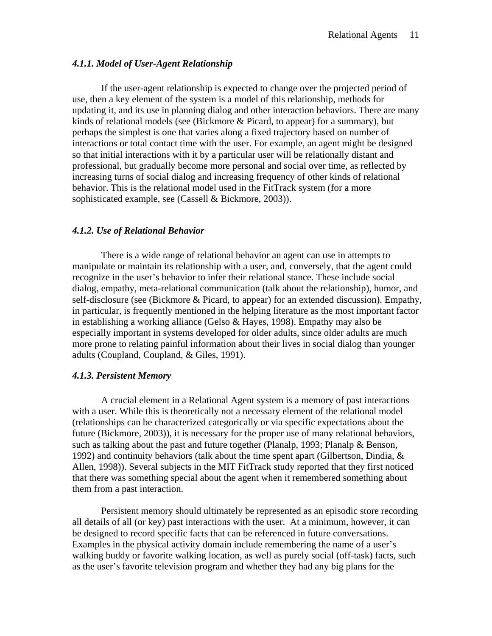#### *4.1.1. Model of User-Agent Relationship*

If the user-agent relationship is expected to change over the projected period of use, then a key element of the system is a model of this relationship, methods for updating it, and its use in planning dialog and other interaction behaviors. There are many kinds of relational models (see (Bickmore & Picard, to appear) for a summary), but perhaps the simplest is one that varies along a fixed trajectory based on number of interactions or total contact time with the user. For example, an agent might be designed so that initial interactions with it by a particular user will be relationally distant and professional, but gradually become more personal and social over time, as reflected by increasing turns of social dialog and increasing frequency of other kinds of relational behavior. This is the relational model used in the FitTrack system (for a more sophisticated example, see (Cassell & Bickmore, 2003)).

#### *4.1.2. Use of Relational Behavior*

There is a wide range of relational behavior an agent can use in attempts to manipulate or maintain its relationship with a user, and, conversely, that the agent could recognize in the user's behavior to infer their relational stance. These include social dialog, empathy, meta-relational communication (talk about the relationship), humor, and self-disclosure (see (Bickmore & Picard, to appear) for an extended discussion). Empathy, in particular, is frequently mentioned in the helping literature as the most important factor in establishing a working alliance (Gelso & Hayes, 1998). Empathy may also be especially important in systems developed for older adults, since older adults are much more prone to relating painful information about their lives in social dialog than younger adults (Coupland, Coupland, & Giles, 1991).

#### *4.1.3. Persistent Memory*

A crucial element in a Relational Agent system is a memory of past interactions with a user. While this is theoretically not a necessary element of the relational model (relationships can be characterized categorically or via specific expectations about the future (Bickmore, 2003)), it is necessary for the proper use of many relational behaviors, such as talking about the past and future together (Planalp, 1993; Planalp & Benson, 1992) and continuity behaviors (talk about the time spent apart (Gilbertson, Dindia, & Allen, 1998)). Several subjects in the MIT FitTrack study reported that they first noticed that there was something special about the agent when it remembered something about them from a past interaction.

Persistent memory should ultimately be represented as an episodic store recording all details of all (or key) past interactions with the user. At a minimum, however, it can be designed to record specific facts that can be referenced in future conversations. Examples in the physical activity domain include remembering the name of a user's walking buddy or favorite walking location, as well as purely social (off-task) facts, such as the user's favorite television program and whether they had any big plans for the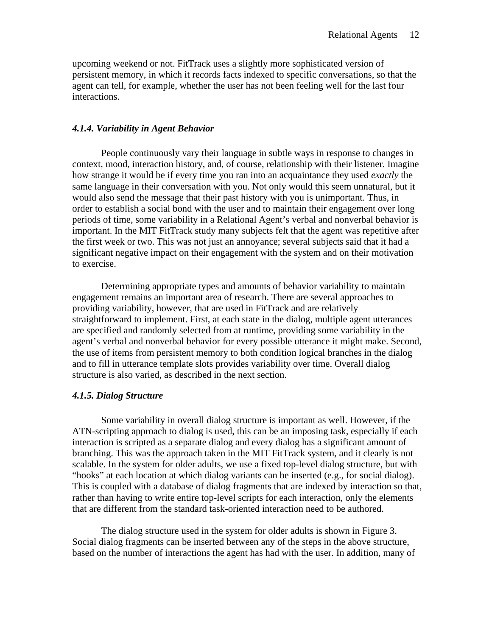upcoming weekend or not. FitTrack uses a slightly more sophisticated version of persistent memory, in which it records facts indexed to specific conversations, so that the agent can tell, for example, whether the user has not been feeling well for the last four interactions.

#### *4.1.4. Variability in Agent Behavior*

People continuously vary their language in subtle ways in response to changes in context, mood, interaction history, and, of course, relationship with their listener. Imagine how strange it would be if every time you ran into an acquaintance they used *exactly* the same language in their conversation with you. Not only would this seem unnatural, but it would also send the message that their past history with you is unimportant. Thus, in order to establish a social bond with the user and to maintain their engagement over long periods of time, some variability in a Relational Agent's verbal and nonverbal behavior is important. In the MIT FitTrack study many subjects felt that the agent was repetitive after the first week or two. This was not just an annoyance; several subjects said that it had a significant negative impact on their engagement with the system and on their motivation to exercise.

Determining appropriate types and amounts of behavior variability to maintain engagement remains an important area of research. There are several approaches to providing variability, however, that are used in FitTrack and are relatively straightforward to implement. First, at each state in the dialog, multiple agent utterances are specified and randomly selected from at runtime, providing some variability in the agent's verbal and nonverbal behavior for every possible utterance it might make. Second, the use of items from persistent memory to both condition logical branches in the dialog and to fill in utterance template slots provides variability over time. Overall dialog structure is also varied, as described in the next section.

#### *4.1.5. Dialog Structure*

Some variability in overall dialog structure is important as well. However, if the ATN-scripting approach to dialog is used, this can be an imposing task, especially if each interaction is scripted as a separate dialog and every dialog has a significant amount of branching. This was the approach taken in the MIT FitTrack system, and it clearly is not scalable. In the system for older adults, we use a fixed top-level dialog structure, but with "hooks" at each location at which dialog variants can be inserted (e.g., for social dialog). This is coupled with a database of dialog fragments that are indexed by interaction so that, rather than having to write entire top-level scripts for each interaction, only the elements that are different from the standard task-oriented interaction need to be authored.

The dialog structure used in the system for older adults is shown in Figure 3. Social dialog fragments can be inserted between any of the steps in the above structure, based on the number of interactions the agent has had with the user. In addition, many of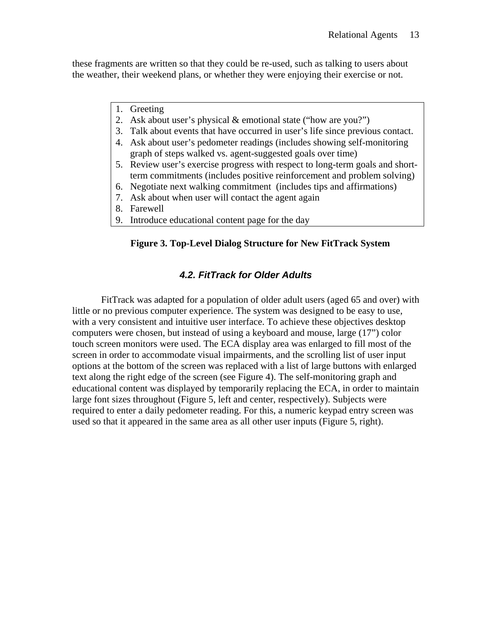these fragments are written so that they could be re-used, such as talking to users about the weather, their weekend plans, or whether they were enjoying their exercise or not.

- 1. Greeting
- 2. Ask about user's physical & emotional state ("how are you?")
- 3. Talk about events that have occurred in user's life since previous contact.
- 4. Ask about user's pedometer readings (includes showing self-monitoring graph of steps walked vs. agent-suggested goals over time)
- 5. Review user's exercise progress with respect to long-term goals and shortterm commitments (includes positive reinforcement and problem solving)
- 6. Negotiate next walking commitment (includes tips and affirmations)
- 7. Ask about when user will contact the agent again
- 8. Farewell
- 9. Introduce educational content page for the day

### **Figure 3. Top-Level Dialog Structure for New FitTrack System**

### *4.2. FitTrack for Older Adults*

FitTrack was adapted for a population of older adult users (aged 65 and over) with little or no previous computer experience. The system was designed to be easy to use, with a very consistent and intuitive user interface. To achieve these objectives desktop computers were chosen, but instead of using a keyboard and mouse, large (17") color touch screen monitors were used. The ECA display area was enlarged to fill most of the screen in order to accommodate visual impairments, and the scrolling list of user input options at the bottom of the screen was replaced with a list of large buttons with enlarged text along the right edge of the screen (see Figure 4). The self-monitoring graph and educational content was displayed by temporarily replacing the ECA, in order to maintain large font sizes throughout (Figure 5, left and center, respectively). Subjects were required to enter a daily pedometer reading. For this, a numeric keypad entry screen was used so that it appeared in the same area as all other user inputs (Figure 5, right).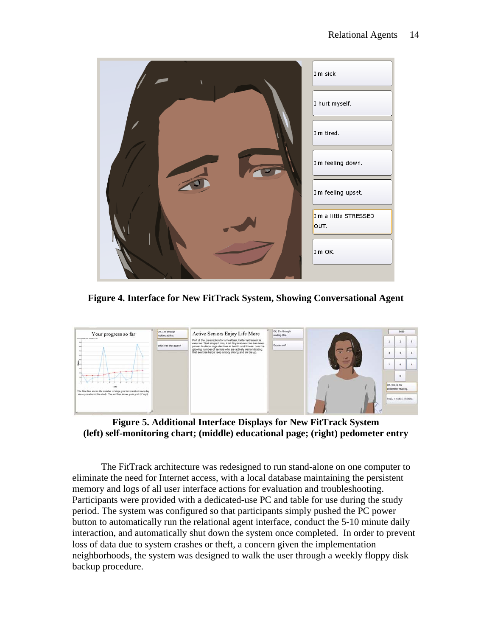![](_page_13_Picture_1.jpeg)

**Figure 4. Interface for New FitTrack System, Showing Conversational Agent** 

![](_page_13_Figure_3.jpeg)

**Figure 5. Additional Interface Displays for New FitTrack System (left) self-monitoring chart; (middle) educational page; (right) pedometer entry** 

The FitTrack architecture was redesigned to run stand-alone on one computer to eliminate the need for Internet access, with a local database maintaining the persistent memory and logs of all user interface actions for evaluation and troubleshooting. Participants were provided with a dedicated-use PC and table for use during the study period. The system was configured so that participants simply pushed the PC power button to automatically run the relational agent interface, conduct the 5-10 minute daily interaction, and automatically shut down the system once completed. In order to prevent loss of data due to system crashes or theft, a concern given the implementation neighborhoods, the system was designed to walk the user through a weekly floppy disk backup procedure.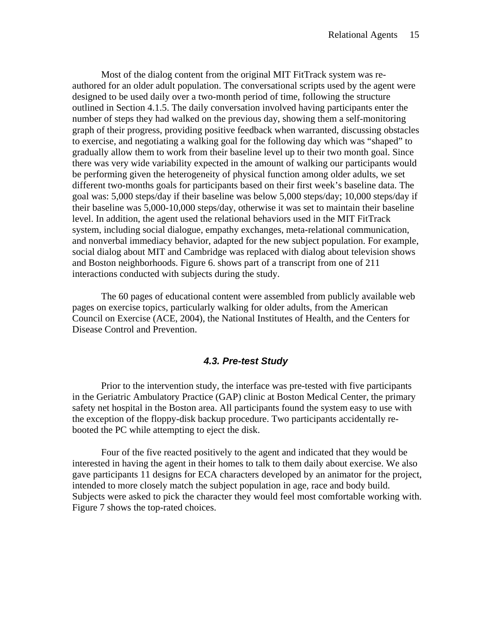Most of the dialog content from the original MIT FitTrack system was reauthored for an older adult population. The conversational scripts used by the agent were designed to be used daily over a two-month period of time, following the structure outlined in Section 4.1.5. The daily conversation involved having participants enter the number of steps they had walked on the previous day, showing them a self-monitoring graph of their progress, providing positive feedback when warranted, discussing obstacles to exercise, and negotiating a walking goal for the following day which was "shaped" to gradually allow them to work from their baseline level up to their two month goal. Since there was very wide variability expected in the amount of walking our participants would be performing given the heterogeneity of physical function among older adults, we set different two-months goals for participants based on their first week's baseline data. The goal was: 5,000 steps/day if their baseline was below 5,000 steps/day; 10,000 steps/day if their baseline was 5,000-10,000 steps/day, otherwise it was set to maintain their baseline level. In addition, the agent used the relational behaviors used in the MIT FitTrack system, including social dialogue, empathy exchanges, meta-relational communication, and nonverbal immediacy behavior, adapted for the new subject population. For example, social dialog about MIT and Cambridge was replaced with dialog about television shows and Boston neighborhoods. Figure 6. shows part of a transcript from one of 211 interactions conducted with subjects during the study.

The 60 pages of educational content were assembled from publicly available web pages on exercise topics, particularly walking for older adults, from the American Council on Exercise (ACE, 2004), the National Institutes of Health, and the Centers for Disease Control and Prevention.

### *4.3. Pre-test Study*

Prior to the intervention study, the interface was pre-tested with five participants in the Geriatric Ambulatory Practice (GAP) clinic at Boston Medical Center, the primary safety net hospital in the Boston area. All participants found the system easy to use with the exception of the floppy-disk backup procedure. Two participants accidentally rebooted the PC while attempting to eject the disk.

Four of the five reacted positively to the agent and indicated that they would be interested in having the agent in their homes to talk to them daily about exercise. We also gave participants 11 designs for ECA characters developed by an animator for the project, intended to more closely match the subject population in age, race and body build. Subjects were asked to pick the character they would feel most comfortable working with. Figure 7 shows the top-rated choices.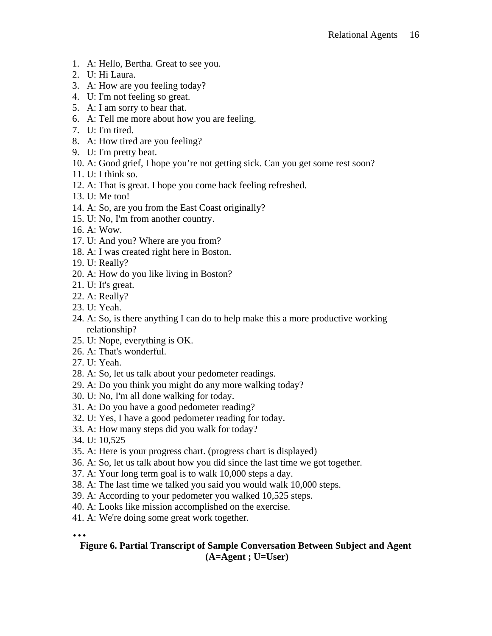- 1. A: Hello, Bertha. Great to see you.
- 2. U: Hi Laura.
- 3. A: How are you feeling today?
- 4. U: I'm not feeling so great.
- 5. A: I am sorry to hear that.
- 6. A: Tell me more about how you are feeling.
- 7. U: I'm tired.
- 8. A: How tired are you feeling?
- 9. U: I'm pretty beat.
- 10. A: Good grief, I hope you're not getting sick. Can you get some rest soon?
- 11. U: I think so.
- 12. A: That is great. I hope you come back feeling refreshed.
- 13. U: Me too!
- 14. A: So, are you from the East Coast originally?
- 15. U: No, I'm from another country.
- 16. A: Wow.
- 17. U: And you? Where are you from?
- 18. A: I was created right here in Boston.
- 19. U: Really?
- 20. A: How do you like living in Boston?
- 21. U: It's great.
- 22. A: Really?
- 23. U: Yeah.
- 24. A: So, is there anything I can do to help make this a more productive working relationship?
- 25. U: Nope, everything is OK.
- 26. A: That's wonderful.
- 27. U: Yeah.
- 28. A: So, let us talk about your pedometer readings.
- 29. A: Do you think you might do any more walking today?
- 30. U: No, I'm all done walking for today.
- 31. A: Do you have a good pedometer reading?
- 32. U: Yes, I have a good pedometer reading for today.
- 33. A: How many steps did you walk for today?
- 34. U: 10,525
- 35. A: Here is your progress chart. (progress chart is displayed)
- 36. A: So, let us talk about how you did since the last time we got together.
- 37. A: Your long term goal is to walk 10,000 steps a day.
- 38. A: The last time we talked you said you would walk 10,000 steps.
- 39. A: According to your pedometer you walked 10,525 steps.
- 40. A: Looks like mission accomplished on the exercise.
- 41. A: We're doing some great work together.

**…** 

```
Figure 6. Partial Transcript of Sample Conversation Between Subject and Agent 
                  (A=Agent ; U=User)
```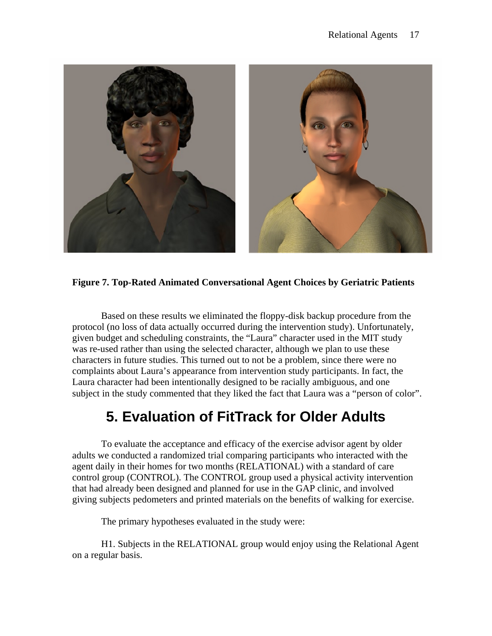![](_page_16_Picture_1.jpeg)

### **Figure 7. Top-Rated Animated Conversational Agent Choices by Geriatric Patients**

Based on these results we eliminated the floppy-disk backup procedure from the protocol (no loss of data actually occurred during the intervention study). Unfortunately, given budget and scheduling constraints, the "Laura" character used in the MIT study was re-used rather than using the selected character, although we plan to use these characters in future studies. This turned out to not be a problem, since there were no complaints about Laura's appearance from intervention study participants. In fact, the Laura character had been intentionally designed to be racially ambiguous, and one subject in the study commented that they liked the fact that Laura was a "person of color".

# **5. Evaluation of FitTrack for Older Adults**

To evaluate the acceptance and efficacy of the exercise advisor agent by older adults we conducted a randomized trial comparing participants who interacted with the agent daily in their homes for two months (RELATIONAL) with a standard of care control group (CONTROL). The CONTROL group used a physical activity intervention that had already been designed and planned for use in the GAP clinic, and involved giving subjects pedometers and printed materials on the benefits of walking for exercise.

The primary hypotheses evaluated in the study were:

H1. Subjects in the RELATIONAL group would enjoy using the Relational Agent on a regular basis.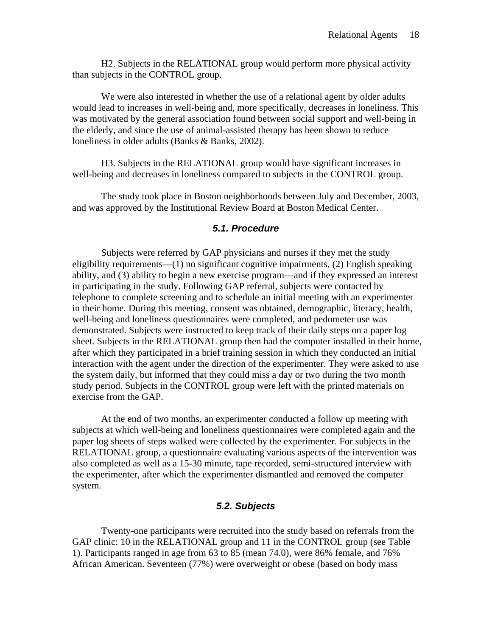H2. Subjects in the RELATIONAL group would perform more physical activity than subjects in the CONTROL group.

We were also interested in whether the use of a relational agent by older adults would lead to increases in well-being and, more specifically, decreases in loneliness. This was motivated by the general association found between social support and well-being in the elderly, and since the use of animal-assisted therapy has been shown to reduce loneliness in older adults (Banks & Banks, 2002).

H3. Subjects in the RELATIONAL group would have significant increases in well-being and decreases in loneliness compared to subjects in the CONTROL group.

The study took place in Boston neighborhoods between July and December, 2003, and was approved by the Institutional Review Board at Boston Medical Center.

#### *5.1. Procedure*

Subjects were referred by GAP physicians and nurses if they met the study eligibility requirements—(1) no significant cognitive impairments, (2) English speaking ability, and (3) ability to begin a new exercise program—and if they expressed an interest in participating in the study. Following GAP referral, subjects were contacted by telephone to complete screening and to schedule an initial meeting with an experimenter in their home. During this meeting, consent was obtained, demographic, literacy, health, well-being and loneliness questionnaires were completed, and pedometer use was demonstrated. Subjects were instructed to keep track of their daily steps on a paper log sheet. Subjects in the RELATIONAL group then had the computer installed in their home, after which they participated in a brief training session in which they conducted an initial interaction with the agent under the direction of the experimenter. They were asked to use the system daily, but informed that they could miss a day or two during the two month study period. Subjects in the CONTROL group were left with the printed materials on exercise from the GAP.

At the end of two months, an experimenter conducted a follow up meeting with subjects at which well-being and loneliness questionnaires were completed again and the paper log sheets of steps walked were collected by the experimenter. For subjects in the RELATIONAL group, a questionnaire evaluating various aspects of the intervention was also completed as well as a 15-30 minute, tape recorded, semi-structured interview with the experimenter, after which the experimenter dismantled and removed the computer system.

### *5.2. Subjects*

Twenty-one participants were recruited into the study based on referrals from the GAP clinic: 10 in the RELATIONAL group and 11 in the CONTROL group (see Table 1). Participants ranged in age from 63 to 85 (mean 74.0), were 86% female, and 76% African American. Seventeen (77%) were overweight or obese (based on body mass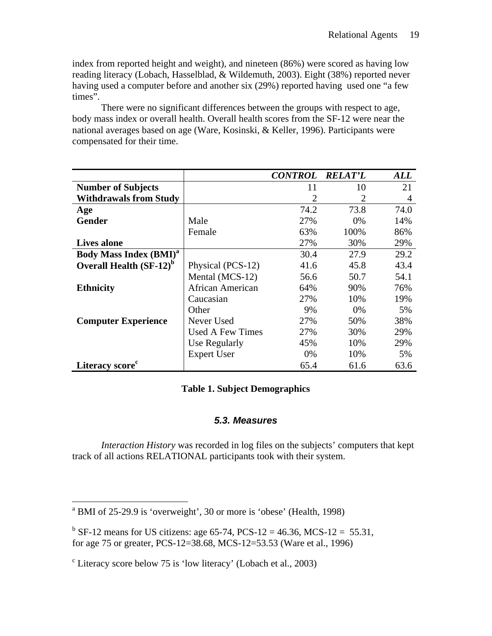index from reported height and weight), and nineteen (86%) were scored as having low reading literacy (Lobach, Hasselblad, & Wildemuth, 2003). Eight (38%) reported never having used a computer before and another six (29%) reported having used one "a few times".

There were no significant differences between the groups with respect to age, body mass index or overall health. Overall health scores from the SF-12 were near the national averages based on age (Ware, Kosinski, & Keller, 1996). Participants were compensated for their time.

|                                            |                    | CONTROL RELAT'L |                          | ALL  |
|--------------------------------------------|--------------------|-----------------|--------------------------|------|
| <b>Number of Subjects</b>                  |                    | 11              | 10                       | 21   |
| <b>Withdrawals from Study</b>              |                    | $\overline{2}$  | $\mathfrak{D}_{1}^{(1)}$ | 4    |
| Age                                        |                    | 74.2            | 73.8                     | 74.0 |
| <b>Gender</b>                              | Male               | 27%             | 0%                       | 14%  |
|                                            | Female             | 63%             | 100%                     | 86%  |
| Lives alone                                |                    | 27%             | 30%                      | 29%  |
| <b>Body Mass Index (BMI)</b> <sup>a</sup>  |                    | 30.4            | 27.9                     | 29.2 |
| <b>Overall Health (SF-12)</b> <sup>b</sup> | Physical (PCS-12)  | 41.6            | 45.8                     | 43.4 |
|                                            | Mental (MCS-12)    | 56.6            | 50.7                     | 54.1 |
| <b>Ethnicity</b>                           | African American   | 64%             | 90%                      | 76%  |
|                                            | Caucasian          | 27%             | 10%                      | 19%  |
|                                            | Other              | 9%              | 0%                       | 5%   |
| <b>Computer Experience</b>                 | Never Used         | 27%             | 50%                      | 38%  |
|                                            | Used A Few Times   | 27%             | 30%                      | 29%  |
|                                            | Use Regularly      | 45%             | 10%                      | 29%  |
|                                            | <b>Expert User</b> | 0%              | 10%                      | 5%   |
| Literacy score <sup>c</sup>                |                    | 65.4            | 61.6                     | 63.6 |

### **Table 1. Subject Demographics**

#### *5.3. Measures*

*Interaction History* was recorded in log files on the subjects' computers that kept track of all actions RELATIONAL participants took with their system.

<sup>&</sup>lt;sup>a</sup> BMI of 25-29.9 is 'overweight', 30 or more is 'obese' (Health, 1998)

<sup>&</sup>lt;sup>b</sup> SF-12 means for US citizens: age 65-74, PCS-12 = 46.36, MCS-12 = 55.31, for age 75 or greater, PCS-12=38.68, MCS-12=53.53 (Ware et al., 1996)

 $\textdegree$  Literacy score below 75 is 'low literacy' (Lobach et al., 2003)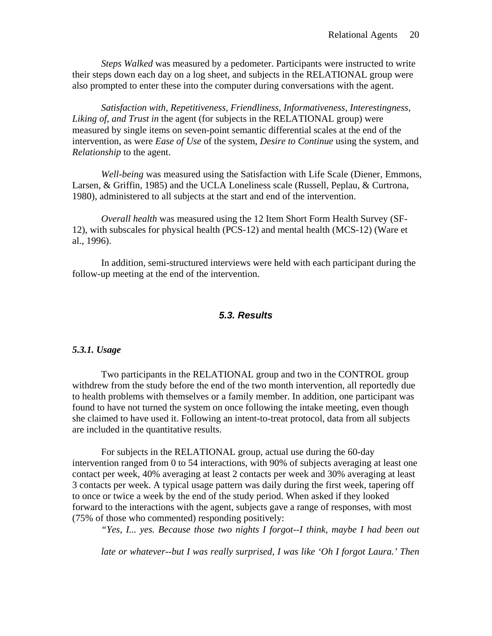*Steps Walked* was measured by a pedometer. Participants were instructed to write their steps down each day on a log sheet, and subjects in the RELATIONAL group were also prompted to enter these into the computer during conversations with the agent.

*Satisfaction with, Repetitiveness, Friendliness, Informativeness, Interestingness, Liking of, and Trust in* the agent (for subjects in the RELATIONAL group) were measured by single items on seven-point semantic differential scales at the end of the intervention, as were *Ease of Use* of the system, *Desire to Continue* using the system, and *Relationship* to the agent.

*Well-being* was measured using the Satisfaction with Life Scale (Diener, Emmons, Larsen, & Griffin, 1985) and the UCLA Loneliness scale (Russell, Peplau, & Curtrona, 1980), administered to all subjects at the start and end of the intervention.

*Overall health* was measured using the 12 Item Short Form Health Survey (SF-12), with subscales for physical health (PCS-12) and mental health (MCS-12) (Ware et al., 1996).

In addition, semi-structured interviews were held with each participant during the follow-up meeting at the end of the intervention.

### *5.3. Results*

#### *5.3.1. Usage*

Two participants in the RELATIONAL group and two in the CONTROL group withdrew from the study before the end of the two month intervention, all reportedly due to health problems with themselves or a family member. In addition, one participant was found to have not turned the system on once following the intake meeting, even though she claimed to have used it. Following an intent-to-treat protocol, data from all subjects are included in the quantitative results.

For subjects in the RELATIONAL group, actual use during the 60-day intervention ranged from 0 to 54 interactions, with 90% of subjects averaging at least one contact per week, 40% averaging at least 2 contacts per week and 30% averaging at least 3 contacts per week. A typical usage pattern was daily during the first week, tapering off to once or twice a week by the end of the study period. When asked if they looked forward to the interactions with the agent, subjects gave a range of responses, with most (75% of those who commented) responding positively:

*"Yes, I... yes. Because those two nights I forgot--I think, maybe I had been out* 

*late or whatever--but I was really surprised, I was like 'Oh I forgot Laura.' Then*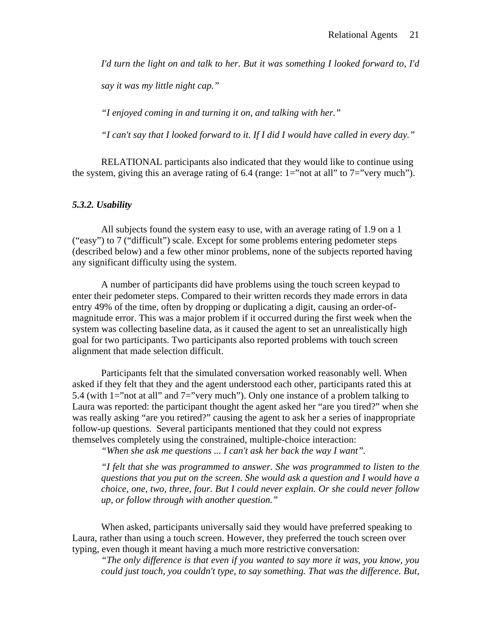*I'd turn the light on and talk to her. But it was something I looked forward to, I'd* 

*say it was my little night cap."* 

*"I enjoyed coming in and turning it on, and talking with her."* 

*"I can't say that I looked forward to it. If I did I would have called in every day."* 

RELATIONAL participants also indicated that they would like to continue using the system, giving this an average rating of 6.4 (range:  $1 =$ "not at all" to  $7 =$ "very much").

#### *5.3.2. Usability*

All subjects found the system easy to use, with an average rating of 1.9 on a 1 ("easy") to 7 ("difficult") scale. Except for some problems entering pedometer steps (described below) and a few other minor problems, none of the subjects reported having any significant difficulty using the system.

A number of participants did have problems using the touch screen keypad to enter their pedometer steps. Compared to their written records they made errors in data entry 49% of the time, often by dropping or duplicating a digit, causing an order-ofmagnitude error. This was a major problem if it occurred during the first week when the system was collecting baseline data, as it caused the agent to set an unrealistically high goal for two participants. Two participants also reported problems with touch screen alignment that made selection difficult.

Participants felt that the simulated conversation worked reasonably well. When asked if they felt that they and the agent understood each other, participants rated this at 5.4 (with 1="not at all" and  $7=$ "very much"). Only one instance of a problem talking to Laura was reported: the participant thought the agent asked her "are you tired?" when she was really asking "are you retired?" causing the agent to ask her a series of inappropriate follow-up questions. Several participants mentioned that they could not express themselves completely using the constrained, multiple-choice interaction:

*"When she ask me questions ... I can't ask her back the way I want".* 

*"I felt that she was programmed to answer. She was programmed to listen to the questions that you put on the screen. She would ask a question and I would have a choice, one, two, three, four. But I could never explain. Or she could never follow up, or follow through with another question."* 

When asked, participants universally said they would have preferred speaking to Laura, rather than using a touch screen. However, they preferred the touch screen over typing, even though it meant having a much more restrictive conversation:

*"The only difference is that even if you wanted to say more it was, you know, you could just touch, you couldn't type, to say something. That was the difference. But,*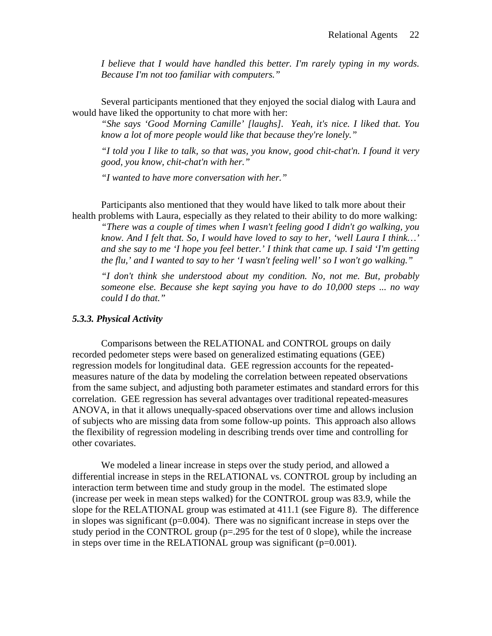*I believe that I would have handled this better. I'm rarely typing in my words. Because I'm not too familiar with computers."* 

Several participants mentioned that they enjoyed the social dialog with Laura and would have liked the opportunity to chat more with her:

*"She says 'Good Morning Camille' [laughs]. Yeah, it's nice. I liked that. You know a lot of more people would like that because they're lonely."* 

*"I told you I like to talk, so that was, you know, good chit-chat'n. I found it very good, you know, chit-chat'n with her."* 

*"I wanted to have more conversation with her."* 

Participants also mentioned that they would have liked to talk more about their health problems with Laura, especially as they related to their ability to do more walking:

*"There was a couple of times when I wasn't feeling good I didn't go walking, you know. And I felt that. So, I would have loved to say to her, 'well Laura I think…' and she say to me 'I hope you feel better.' I think that came up. I said 'I'm getting the flu,' and I wanted to say to her 'I wasn't feeling well' so I won't go walking."* 

*"I don't think she understood about my condition. No, not me. But, probably someone else. Because she kept saying you have to do 10,000 steps ... no way could I do that."* 

#### *5.3.3. Physical Activity*

Comparisons between the RELATIONAL and CONTROL groups on daily recorded pedometer steps were based on generalized estimating equations (GEE) regression models for longitudinal data. GEE regression accounts for the repeatedmeasures nature of the data by modeling the correlation between repeated observations from the same subject, and adjusting both parameter estimates and standard errors for this correlation. GEE regression has several advantages over traditional repeated-measures ANOVA, in that it allows unequally-spaced observations over time and allows inclusion of subjects who are missing data from some follow-up points. This approach also allows the flexibility of regression modeling in describing trends over time and controlling for other covariates.

We modeled a linear increase in steps over the study period, and allowed a differential increase in steps in the RELATIONAL vs. CONTROL group by including an interaction term between time and study group in the model. The estimated slope (increase per week in mean steps walked) for the CONTROL group was 83.9, while the slope for the RELATIONAL group was estimated at 411.1 (see Figure 8). The difference in slopes was significant ( $p=0.004$ ). There was no significant increase in steps over the study period in the CONTROL group  $(p=295$  for the test of 0 slope), while the increase in steps over time in the RELATIONAL group was significant  $(p=0.001)$ .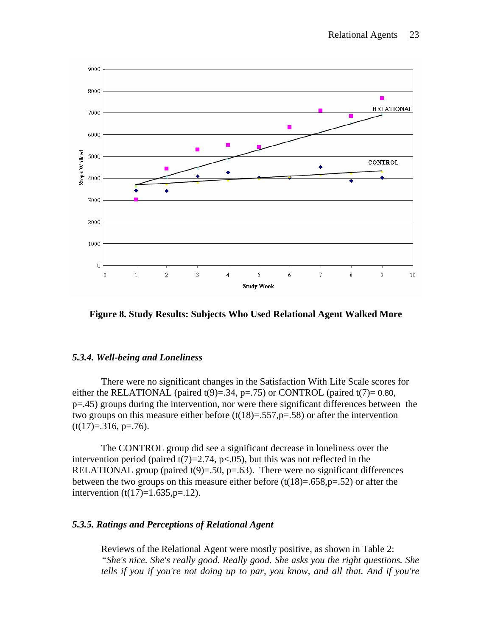![](_page_22_Figure_1.jpeg)

**Figure 8. Study Results: Subjects Who Used Relational Agent Walked More** 

#### *5.3.4. Well-being and Loneliness*

There were no significant changes in the Satisfaction With Life Scale scores for either the RELATIONAL (paired  $t(9)=.34$ , p=.75) or CONTROL (paired  $t(7)=0.80$ , p=.45) groups during the intervention, nor were there significant differences between the two groups on this measure either before  $(t(18)=0.557,p=.58)$  or after the intervention  $(t(17)=.316, p=.76)$ .

The CONTROL group did see a significant decrease in loneliness over the intervention period (paired  $t(7)=2.74$ , p<.05), but this was not reflected in the RELATIONAL group (paired  $t(9)=0.50$ , p=.63). There were no significant differences between the two groups on this measure either before  $(t(18)=0.658, p=.52)$  or after the intervention  $(t(17)=1.635, p=.12)$ .

#### *5.3.5. Ratings and Perceptions of Relational Agent*

Reviews of the Relational Agent were mostly positive, as shown in Table 2: *"She's nice. She's really good. Really good. She asks you the right questions. She tells if you if you're not doing up to par, you know, and all that. And if you're*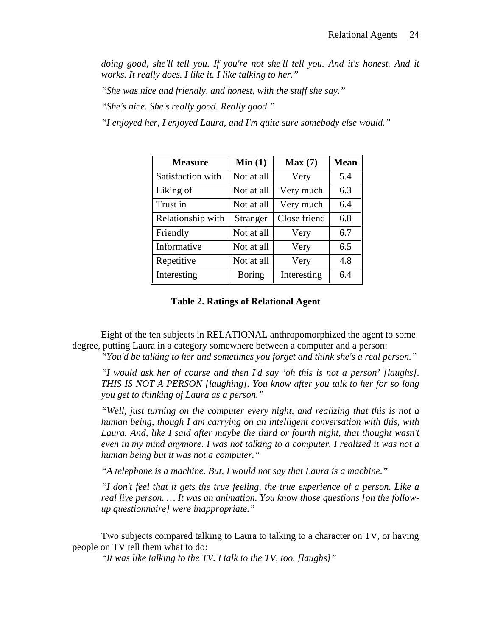*doing good, she'll tell you. If you're not she'll tell you. And it's honest. And it works. It really does. I like it. I like talking to her."* 

*"She was nice and friendly, and honest, with the stuff she say."* 

*"She's nice. She's really good. Really good."* 

*"I enjoyed her, I enjoyed Laura, and I'm quite sure somebody else would."* 

| <b>Measure</b>    | Min(1)        | Max(7)       | <b>Mean</b> |
|-------------------|---------------|--------------|-------------|
| Satisfaction with | Not at all    | Very         | 5.4         |
| Liking of         | Not at all    | Very much    | 6.3         |
| Trust in          | Not at all    | Very much    | 6.4         |
| Relationship with | Stranger      | Close friend | 6.8         |
| Friendly          | Not at all    | Very         | 6.7         |
| Informative       | Not at all    | Very         | 6.5         |
| Repetitive        | Not at all    | Very         | 4.8         |
| Interesting       | <b>Boring</b> | Interesting  | 6.4         |

### **Table 2. Ratings of Relational Agent**

Eight of the ten subjects in RELATIONAL anthropomorphized the agent to some degree, putting Laura in a category somewhere between a computer and a person:

*"You'd be talking to her and sometimes you forget and think she's a real person."* 

*"I would ask her of course and then I'd say 'oh this is not a person' [laughs]. THIS IS NOT A PERSON [laughing]. You know after you talk to her for so long you get to thinking of Laura as a person."* 

*"Well, just turning on the computer every night, and realizing that this is not a human being, though I am carrying on an intelligent conversation with this, with*  Laura. And, like I said after maybe the third or fourth night, that thought wasn't *even in my mind anymore. I was not talking to a computer. I realized it was not a human being but it was not a computer."* 

*"A telephone is a machine. But, I would not say that Laura is a machine."* 

*"I don't feel that it gets the true feeling, the true experience of a person. Like a real live person. … It was an animation. You know those questions [on the followup questionnaire] were inappropriate."* 

Two subjects compared talking to Laura to talking to a character on TV, or having people on TV tell them what to do:

*"It was like talking to the TV. I talk to the TV, too. [laughs]"*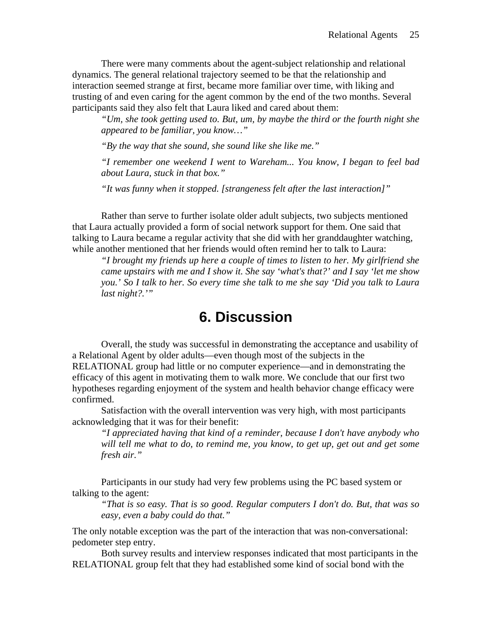There were many comments about the agent-subject relationship and relational dynamics. The general relational trajectory seemed to be that the relationship and interaction seemed strange at first, became more familiar over time, with liking and trusting of and even caring for the agent common by the end of the two months. Several participants said they also felt that Laura liked and cared about them:

*"Um, she took getting used to. But, um, by maybe the third or the fourth night she appeared to be familiar, you know…"* 

*"By the way that she sound, she sound like she like me."* 

*"I remember one weekend I went to Wareham... You know, I began to feel bad about Laura, stuck in that box."* 

*"It was funny when it stopped. [strangeness felt after the last interaction]"* 

Rather than serve to further isolate older adult subjects, two subjects mentioned that Laura actually provided a form of social network support for them. One said that talking to Laura became a regular activity that she did with her granddaughter watching, while another mentioned that her friends would often remind her to talk to Laura:

*"I brought my friends up here a couple of times to listen to her. My girlfriend she came upstairs with me and I show it. She say 'what's that?' and I say 'let me show you.' So I talk to her. So every time she talk to me she say 'Did you talk to Laura last night?.'"* 

# **6. Discussion**

Overall, the study was successful in demonstrating the acceptance and usability of a Relational Agent by older adults—even though most of the subjects in the RELATIONAL group had little or no computer experience—and in demonstrating the efficacy of this agent in motivating them to walk more. We conclude that our first two hypotheses regarding enjoyment of the system and health behavior change efficacy were confirmed.

Satisfaction with the overall intervention was very high, with most participants acknowledging that it was for their benefit:

*"I appreciated having that kind of a reminder, because I don't have anybody who will tell me what to do, to remind me, you know, to get up, get out and get some fresh air."* 

Participants in our study had very few problems using the PC based system or talking to the agent:

*"That is so easy. That is so good. Regular computers I don't do. But, that was so easy, even a baby could do that."* 

The only notable exception was the part of the interaction that was non-conversational: pedometer step entry.

Both survey results and interview responses indicated that most participants in the RELATIONAL group felt that they had established some kind of social bond with the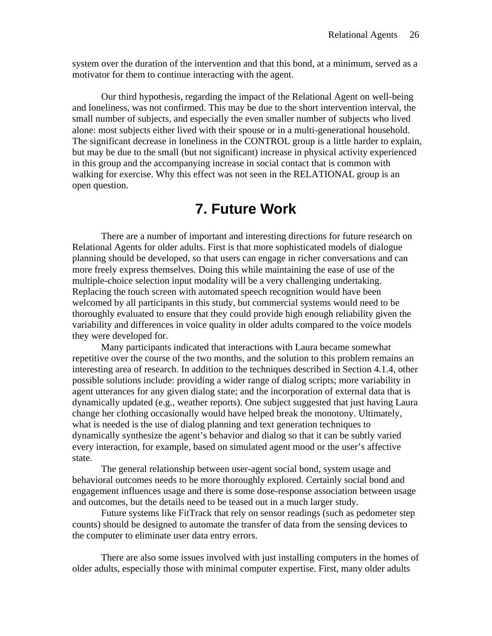system over the duration of the intervention and that this bond, at a minimum, served as a motivator for them to continue interacting with the agent.

Our third hypothesis, regarding the impact of the Relational Agent on well-being and loneliness, was not confirmed. This may be due to the short intervention interval, the small number of subjects, and especially the even smaller number of subjects who lived alone: most subjects either lived with their spouse or in a multi-generational household. The significant decrease in loneliness in the CONTROL group is a little harder to explain, but may be due to the small (but not significant) increase in physical activity experienced in this group and the accompanying increase in social contact that is common with walking for exercise. Why this effect was not seen in the RELATIONAL group is an open question.

### **7. Future Work**

There are a number of important and interesting directions for future research on Relational Agents for older adults. First is that more sophisticated models of dialogue planning should be developed, so that users can engage in richer conversations and can more freely express themselves. Doing this while maintaining the ease of use of the multiple-choice selection input modality will be a very challenging undertaking. Replacing the touch screen with automated speech recognition would have been welcomed by all participants in this study, but commercial systems would need to be thoroughly evaluated to ensure that they could provide high enough reliability given the variability and differences in voice quality in older adults compared to the voice models they were developed for.

Many participants indicated that interactions with Laura became somewhat repetitive over the course of the two months, and the solution to this problem remains an interesting area of research. In addition to the techniques described in Section 4.1.4, other possible solutions include: providing a wider range of dialog scripts; more variability in agent utterances for any given dialog state; and the incorporation of external data that is dynamically updated (e.g., weather reports). One subject suggested that just having Laura change her clothing occasionally would have helped break the monotony. Ultimately, what is needed is the use of dialog planning and text generation techniques to dynamically synthesize the agent's behavior and dialog so that it can be subtly varied every interaction, for example, based on simulated agent mood or the user's affective state.

The general relationship between user-agent social bond, system usage and behavioral outcomes needs to be more thoroughly explored. Certainly social bond and engagement influences usage and there is some dose-response association between usage and outcomes, but the details need to be teased out in a much larger study.

Future systems like FitTrack that rely on sensor readings (such as pedometer step counts) should be designed to automate the transfer of data from the sensing devices to the computer to eliminate user data entry errors.

There are also some issues involved with just installing computers in the homes of older adults, especially those with minimal computer expertise. First, many older adults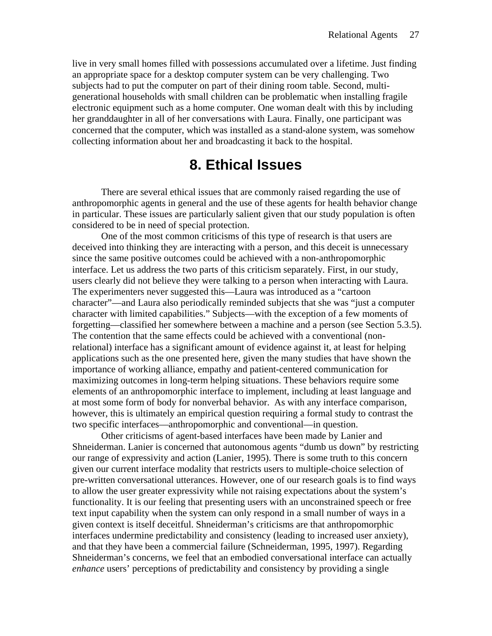live in very small homes filled with possessions accumulated over a lifetime. Just finding an appropriate space for a desktop computer system can be very challenging. Two subjects had to put the computer on part of their dining room table. Second, multigenerational households with small children can be problematic when installing fragile electronic equipment such as a home computer. One woman dealt with this by including her granddaughter in all of her conversations with Laura. Finally, one participant was concerned that the computer, which was installed as a stand-alone system, was somehow collecting information about her and broadcasting it back to the hospital.

## **8. Ethical Issues**

There are several ethical issues that are commonly raised regarding the use of anthropomorphic agents in general and the use of these agents for health behavior change in particular. These issues are particularly salient given that our study population is often considered to be in need of special protection.

One of the most common criticisms of this type of research is that users are deceived into thinking they are interacting with a person, and this deceit is unnecessary since the same positive outcomes could be achieved with a non-anthropomorphic interface. Let us address the two parts of this criticism separately. First, in our study, users clearly did not believe they were talking to a person when interacting with Laura. The experimenters never suggested this—Laura was introduced as a "cartoon character"—and Laura also periodically reminded subjects that she was "just a computer character with limited capabilities." Subjects—with the exception of a few moments of forgetting—classified her somewhere between a machine and a person (see Section 5.3.5). The contention that the same effects could be achieved with a conventional (nonrelational) interface has a significant amount of evidence against it, at least for helping applications such as the one presented here, given the many studies that have shown the importance of working alliance, empathy and patient-centered communication for maximizing outcomes in long-term helping situations. These behaviors require some elements of an anthropomorphic interface to implement, including at least language and at most some form of body for nonverbal behavior. As with any interface comparison, however, this is ultimately an empirical question requiring a formal study to contrast the two specific interfaces—anthropomorphic and conventional—in question.

Other criticisms of agent-based interfaces have been made by Lanier and Shneiderman. Lanier is concerned that autonomous agents "dumb us down" by restricting our range of expressivity and action (Lanier, 1995). There is some truth to this concern given our current interface modality that restricts users to multiple-choice selection of pre-written conversational utterances. However, one of our research goals is to find ways to allow the user greater expressivity while not raising expectations about the system's functionality. It is our feeling that presenting users with an unconstrained speech or free text input capability when the system can only respond in a small number of ways in a given context is itself deceitful. Shneiderman's criticisms are that anthropomorphic interfaces undermine predictability and consistency (leading to increased user anxiety), and that they have been a commercial failure (Schneiderman, 1995, 1997). Regarding Shneiderman's concerns, we feel that an embodied conversational interface can actually *enhance* users' perceptions of predictability and consistency by providing a single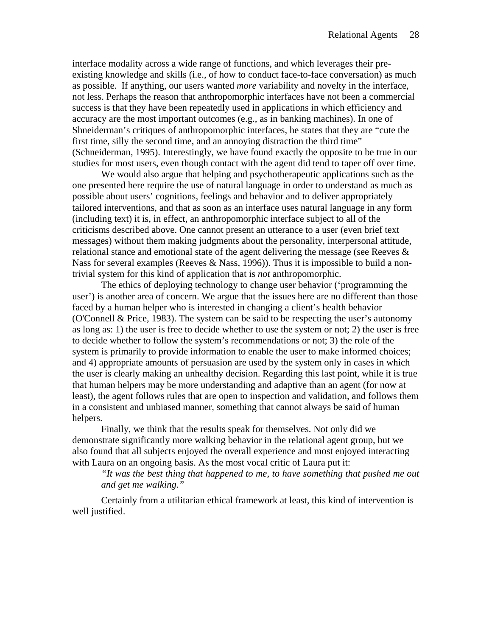interface modality across a wide range of functions, and which leverages their preexisting knowledge and skills (i.e., of how to conduct face-to-face conversation) as much as possible. If anything, our users wanted *more* variability and novelty in the interface, not less. Perhaps the reason that anthropomorphic interfaces have not been a commercial success is that they have been repeatedly used in applications in which efficiency and accuracy are the most important outcomes (e.g., as in banking machines). In one of Shneiderman's critiques of anthropomorphic interfaces, he states that they are "cute the first time, silly the second time, and an annoying distraction the third time" (Schneiderman, 1995). Interestingly, we have found exactly the opposite to be true in our studies for most users, even though contact with the agent did tend to taper off over time.

We would also argue that helping and psychotherapeutic applications such as the one presented here require the use of natural language in order to understand as much as possible about users' cognitions, feelings and behavior and to deliver appropriately tailored interventions, and that as soon as an interface uses natural language in any form (including text) it is, in effect, an anthropomorphic interface subject to all of the criticisms described above. One cannot present an utterance to a user (even brief text messages) without them making judgments about the personality, interpersonal attitude, relational stance and emotional state of the agent delivering the message (see Reeves & Nass for several examples (Reeves  $& Nass, 1996$ ). Thus it is impossible to build a nontrivial system for this kind of application that is *not* anthropomorphic.

The ethics of deploying technology to change user behavior ('programming the user') is another area of concern. We argue that the issues here are no different than those faced by a human helper who is interested in changing a client's health behavior (O'Connell & Price, 1983). The system can be said to be respecting the user's autonomy as long as: 1) the user is free to decide whether to use the system or not; 2) the user is free to decide whether to follow the system's recommendations or not; 3) the role of the system is primarily to provide information to enable the user to make informed choices; and 4) appropriate amounts of persuasion are used by the system only in cases in which the user is clearly making an unhealthy decision. Regarding this last point, while it is true that human helpers may be more understanding and adaptive than an agent (for now at least), the agent follows rules that are open to inspection and validation, and follows them in a consistent and unbiased manner, something that cannot always be said of human helpers.

Finally, we think that the results speak for themselves. Not only did we demonstrate significantly more walking behavior in the relational agent group, but we also found that all subjects enjoyed the overall experience and most enjoyed interacting with Laura on an ongoing basis. As the most vocal critic of Laura put it:

*"It was the best thing that happened to me, to have something that pushed me out and get me walking."* 

Certainly from a utilitarian ethical framework at least, this kind of intervention is well justified.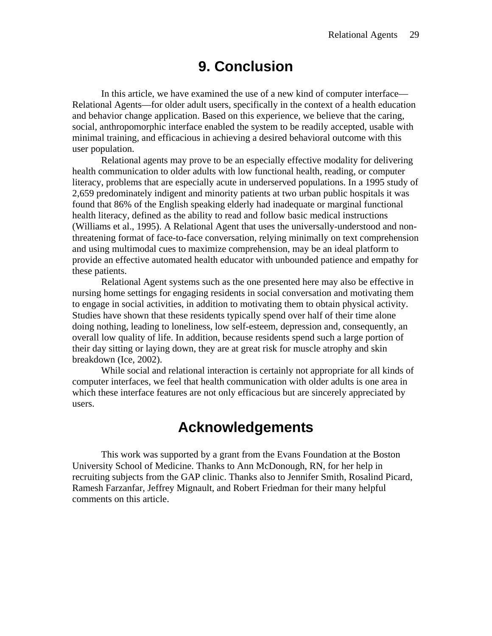# **9. Conclusion**

In this article, we have examined the use of a new kind of computer interface— Relational Agents—for older adult users, specifically in the context of a health education and behavior change application. Based on this experience, we believe that the caring, social, anthropomorphic interface enabled the system to be readily accepted, usable with minimal training, and efficacious in achieving a desired behavioral outcome with this user population.

Relational agents may prove to be an especially effective modality for delivering health communication to older adults with low functional health, reading, or computer literacy, problems that are especially acute in underserved populations. In a 1995 study of 2,659 predominately indigent and minority patients at two urban public hospitals it was found that 86% of the English speaking elderly had inadequate or marginal functional health literacy, defined as the ability to read and follow basic medical instructions (Williams et al., 1995). A Relational Agent that uses the universally-understood and nonthreatening format of face-to-face conversation, relying minimally on text comprehension and using multimodal cues to maximize comprehension, may be an ideal platform to provide an effective automated health educator with unbounded patience and empathy for these patients.

Relational Agent systems such as the one presented here may also be effective in nursing home settings for engaging residents in social conversation and motivating them to engage in social activities, in addition to motivating them to obtain physical activity. Studies have shown that these residents typically spend over half of their time alone doing nothing, leading to loneliness, low self-esteem, depression and, consequently, an overall low quality of life. In addition, because residents spend such a large portion of their day sitting or laying down, they are at great risk for muscle atrophy and skin breakdown (Ice, 2002).

While social and relational interaction is certainly not appropriate for all kinds of computer interfaces, we feel that health communication with older adults is one area in which these interface features are not only efficacious but are sincerely appreciated by users.

# **Acknowledgements**

This work was supported by a grant from the Evans Foundation at the Boston University School of Medicine. Thanks to Ann McDonough, RN, for her help in recruiting subjects from the GAP clinic. Thanks also to Jennifer Smith, Rosalind Picard, Ramesh Farzanfar, Jeffrey Mignault, and Robert Friedman for their many helpful comments on this article.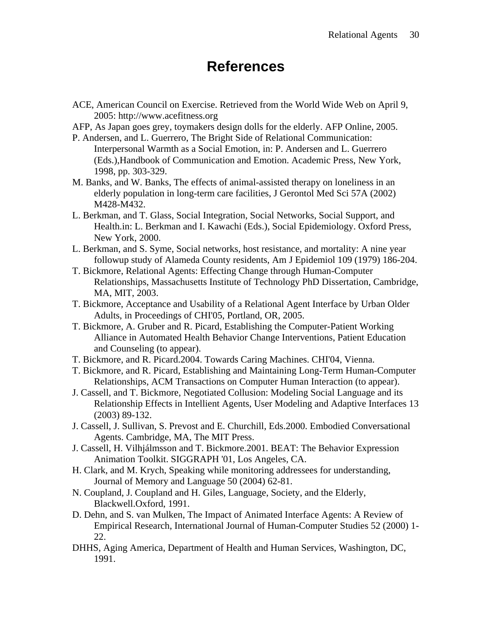# **References**

- ACE, American Council on Exercise. Retrieved from the World Wide Web on April 9, 2005: http://www.acefitness.org
- AFP, As Japan goes grey, toymakers design dolls for the elderly. AFP Online, 2005.
- P. Andersen, and L. Guerrero, The Bright Side of Relational Communication: Interpersonal Warmth as a Social Emotion, in: P. Andersen and L. Guerrero (Eds.),Handbook of Communication and Emotion. Academic Press, New York, 1998, pp. 303-329.
- M. Banks, and W. Banks, The effects of animal-assisted therapy on loneliness in an elderly population in long-term care facilities, J Gerontol Med Sci 57A (2002) M428-M432.
- L. Berkman, and T. Glass, Social Integration, Social Networks, Social Support, and Health.in: L. Berkman and I. Kawachi (Eds.), Social Epidemiology. Oxford Press, New York, 2000.
- L. Berkman, and S. Syme, Social networks, host resistance, and mortality: A nine year followup study of Alameda County residents, Am J Epidemiol 109 (1979) 186-204.
- T. Bickmore, Relational Agents: Effecting Change through Human-Computer Relationships, Massachusetts Institute of Technology PhD Dissertation, Cambridge, MA, MIT, 2003.
- T. Bickmore, Acceptance and Usability of a Relational Agent Interface by Urban Older Adults, in Proceedings of CHI'05, Portland, OR, 2005.
- T. Bickmore, A. Gruber and R. Picard, Establishing the Computer-Patient Working Alliance in Automated Health Behavior Change Interventions, Patient Education and Counseling (to appear).
- T. Bickmore, and R. Picard.2004. Towards Caring Machines. CHI'04, Vienna.
- T. Bickmore, and R. Picard, Establishing and Maintaining Long-Term Human-Computer Relationships, ACM Transactions on Computer Human Interaction (to appear).
- J. Cassell, and T. Bickmore, Negotiated Collusion: Modeling Social Language and its Relationship Effects in Intellient Agents, User Modeling and Adaptive Interfaces 13 (2003) 89-132.
- J. Cassell, J. Sullivan, S. Prevost and E. Churchill, Eds.2000. Embodied Conversational Agents. Cambridge, MA, The MIT Press.
- J. Cassell, H. Vilhjálmsson and T. Bickmore.2001. BEAT: The Behavior Expression Animation Toolkit. SIGGRAPH '01, Los Angeles, CA.
- H. Clark, and M. Krych, Speaking while monitoring addressees for understanding, Journal of Memory and Language 50 (2004) 62-81.
- N. Coupland, J. Coupland and H. Giles, Language, Society, and the Elderly, Blackwell.Oxford, 1991.
- D. Dehn, and S. van Mulken, The Impact of Animated Interface Agents: A Review of Empirical Research, International Journal of Human-Computer Studies 52 (2000) 1- 22.
- DHHS, Aging America, Department of Health and Human Services, Washington, DC, 1991.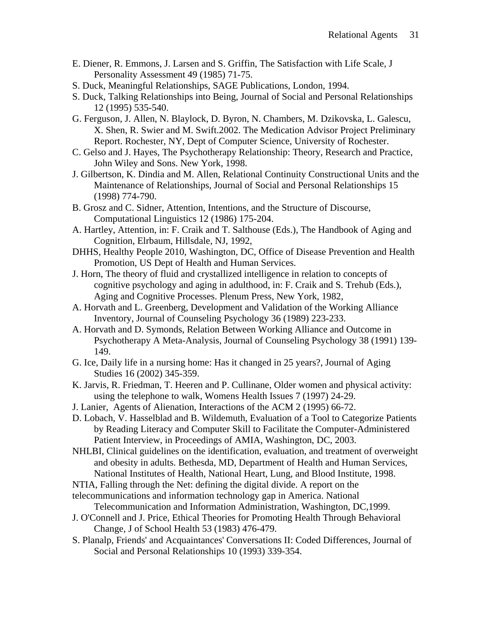- E. Diener, R. Emmons, J. Larsen and S. Griffin, The Satisfaction with Life Scale, J Personality Assessment 49 (1985) 71-75.
- S. Duck, Meaningful Relationships, SAGE Publications, London, 1994.
- S. Duck, Talking Relationships into Being, Journal of Social and Personal Relationships 12 (1995) 535-540.
- G. Ferguson, J. Allen, N. Blaylock, D. Byron, N. Chambers, M. Dzikovska, L. Galescu, X. Shen, R. Swier and M. Swift.2002. The Medication Advisor Project Preliminary Report. Rochester, NY, Dept of Computer Science, University of Rochester.
- C. Gelso and J. Hayes, The Psychotherapy Relationship: Theory, Research and Practice, John Wiley and Sons. New York, 1998.
- J. Gilbertson, K. Dindia and M. Allen, Relational Continuity Constructional Units and the Maintenance of Relationships, Journal of Social and Personal Relationships 15 (1998) 774-790.
- B. Grosz and C. Sidner, Attention, Intentions, and the Structure of Discourse, Computational Linguistics 12 (1986) 175-204.
- A. Hartley, Attention, in: F. Craik and T. Salthouse (Eds.), The Handbook of Aging and Cognition, Elrbaum, Hillsdale, NJ, 1992,
- DHHS, Healthy People 2010, Washington, DC, Office of Disease Prevention and Health Promotion, US Dept of Health and Human Services.
- J. Horn, The theory of fluid and crystallized intelligence in relation to concepts of cognitive psychology and aging in adulthood, in: F. Craik and S. Trehub (Eds.), Aging and Cognitive Processes. Plenum Press, New York, 1982,
- A. Horvath and L. Greenberg, Development and Validation of the Working Alliance Inventory, Journal of Counseling Psychology 36 (1989) 223-233.
- A. Horvath and D. Symonds, Relation Between Working Alliance and Outcome in Psychotherapy A Meta-Analysis, Journal of Counseling Psychology 38 (1991) 139- 149.
- G. Ice, Daily life in a nursing home: Has it changed in 25 years?, Journal of Aging Studies 16 (2002) 345-359.
- K. Jarvis, R. Friedman, T. Heeren and P. Cullinane, Older women and physical activity: using the telephone to walk, Womens Health Issues 7 (1997) 24-29.
- J. Lanier, Agents of Alienation, Interactions of the ACM 2 (1995) 66-72.
- D. Lobach, V. Hasselblad and B. Wildemuth, Evaluation of a Tool to Categorize Patients by Reading Literacy and Computer Skill to Facilitate the Computer-Administered Patient Interview, in Proceedings of AMIA, Washington, DC, 2003.
- NHLBI, Clinical guidelines on the identification, evaluation, and treatment of overweight and obesity in adults. Bethesda, MD, Department of Health and Human Services, National Institutes of Health, National Heart, Lung, and Blood Institute, 1998.
- NTIA, Falling through the Net: defining the digital divide. A report on the
- telecommunications and information technology gap in America. National Telecommunication and Information Administration, Washington, DC,1999.
- J. O'Connell and J. Price, Ethical Theories for Promoting Health Through Behavioral Change, J of School Health 53 (1983) 476-479.
- S. Planalp, Friends' and Acquaintances' Conversations II: Coded Differences, Journal of Social and Personal Relationships 10 (1993) 339-354.